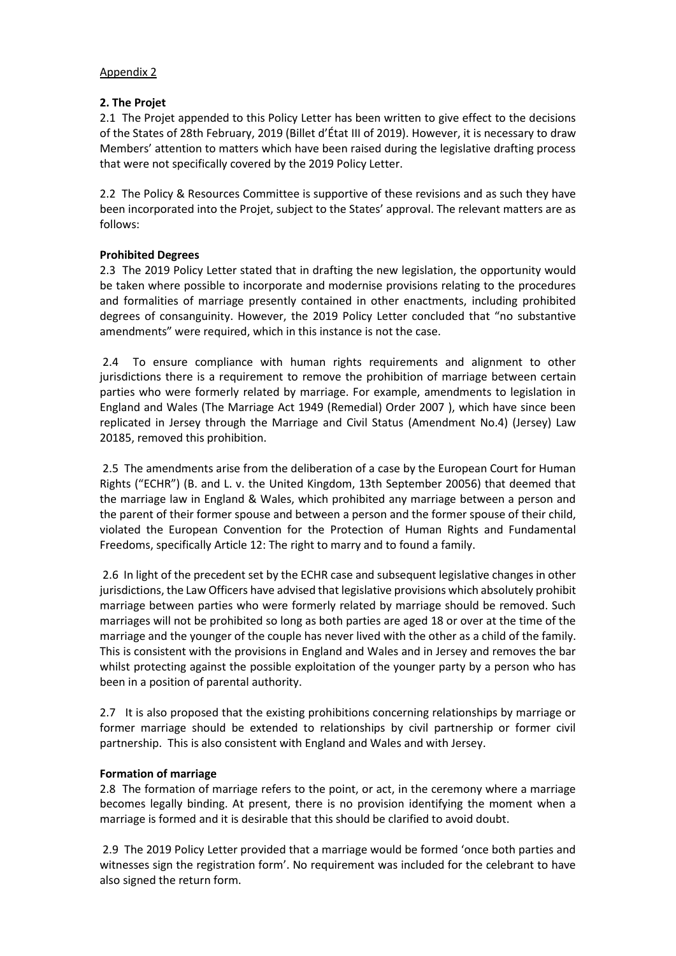## Appendix 2

## **2. The Projet**

2.1 The Projet appended to this Policy Letter has been written to give effect to the decisions of the States of 28th February, 2019 (Billet d'État III of 2019). However, it is necessary to draw Members' attention to matters which have been raised during the legislative drafting process that were not specifically covered by the 2019 Policy Letter.

2.2 The Policy & Resources Committee is supportive of these revisions and as such they have been incorporated into the Projet, subject to the States' approval. The relevant matters are as follows:

## **Prohibited Degrees**

2.3 The 2019 Policy Letter stated that in drafting the new legislation, the opportunity would be taken where possible to incorporate and modernise provisions relating to the procedures and formalities of marriage presently contained in other enactments, including prohibited degrees of consanguinity. However, the 2019 Policy Letter concluded that "no substantive amendments" were required, which in this instance is not the case.

2.4 To ensure compliance with human rights requirements and alignment to other jurisdictions there is a requirement to remove the prohibition of marriage between certain parties who were formerly related by marriage. For example, amendments to legislation in England and Wales (The Marriage Act 1949 (Remedial) Order 2007 ), which have since been replicated in Jersey through the Marriage and Civil Status (Amendment No.4) (Jersey) Law 20185, removed this prohibition.

2.5 The amendments arise from the deliberation of a case by the European Court for Human Rights ("ECHR") (B. and L. v. the United Kingdom, 13th September 20056) that deemed that the marriage law in England & Wales, which prohibited any marriage between a person and the parent of their former spouse and between a person and the former spouse of their child, violated the European Convention for the Protection of Human Rights and Fundamental Freedoms, specifically Article 12: The right to marry and to found a family.

2.6 In light of the precedent set by the ECHR case and subsequent legislative changes in other jurisdictions, the Law Officers have advised that legislative provisions which absolutely prohibit marriage between parties who were formerly related by marriage should be removed. Such marriages will not be prohibited so long as both parties are aged 18 or over at the time of the marriage and the younger of the couple has never lived with the other as a child of the family. This is consistent with the provisions in England and Wales and in Jersey and removes the bar whilst protecting against the possible exploitation of the younger party by a person who has been in a position of parental authority.

2.7 It is also proposed that the existing prohibitions concerning relationships by marriage or former marriage should be extended to relationships by civil partnership or former civil partnership. This is also consistent with England and Wales and with Jersey.

## **Formation of marriage**

2.8 The formation of marriage refers to the point, or act, in the ceremony where a marriage becomes legally binding. At present, there is no provision identifying the moment when a marriage is formed and it is desirable that this should be clarified to avoid doubt.

2.9 The 2019 Policy Letter provided that a marriage would be formed 'once both parties and witnesses sign the registration form'. No requirement was included for the celebrant to have also signed the return form.